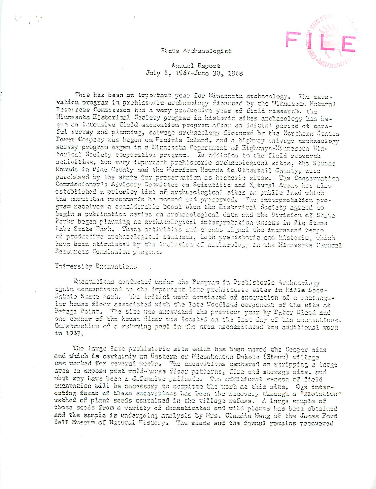# State Archaeologist



# Annual Report July 1, 1967-June 30, 1968

This has been an important year for Minnesota archaeology. The excavation program in prehistoric archaeology financed by the Minnesota Matural Resources Commission had a very productive year of field research, the Minnasota Historical Society program in historic sites archaeology has begun an intensive field excavation program after an initial period of caraful survey and planning, salvage archaeology financed by the Northern States Power Company was begun on Prairie Island, and a highway salvage archaeology survay pregram began in a Minnesota Department of Highways-Minnesota Historical Society cooperative program. In addition to the field research sotivities, two vary important prahistoric archaeological sites, the Stumma Mounds in Pine County and the Morrison Mounds in Ottartail County, were purchased by the state for preservation as histeric sites. The Conservation Commissioner's Advisory Committee on Scientific and Natural Areas has also established a priority list of archaeological sites on public land which the committee recommends be posted and preserved. The interpretation proarem received a considerable boost when the Historical Society agreed to begin a publication series on crehaeological data and the Division of State Parks began planning an archaeological interpretation museum in Big Stons Lake State Park. These activities and events signal the increased tempo of productive archaeological research, both prehistoric and historic, which have been stimulated by the inclusion of archaeology in the Minnesota Natural Resources Commission program.

# University Excavations

Excavations conducted under the Program in Prehistoric Archneology again concentrated on the important late prehistoric sites in Mille Lace-Kathio State Park. The initial work consisted of encavation of a rectangular house floor associated with the late Moodland component of the site at Petaga Point. The site was excavated the previous year by Pater Bleed and one corner of the house floor was located on the last day of his excavations. Construction of a swimming pool in the area nacessitated the additional work in 1967.

The large late prehistoric site which has been named the Cooper site and which is certainly an Eastern or Mesakanton Dakota (Sioux) village was worked for several weeks. The encavations centared on stripping a large avea to expose post mold-house floor patterns, fire and storage pits, and what may have been a defensive paitsade. One additional season of field excavation will be necessary to complete the work at this site. One interesting facet of these excavations has been the recovery through a "flotation" mathed of plant saads contained in the village refuse. A large sample of those seeds from a variety of domasticated and wild plants has been obtained and the sample is undergoing amalysis by Mrs. Claudia Wang of the James Ford Bell Mussum of Natural History. The seeds and the faunsl remains recovered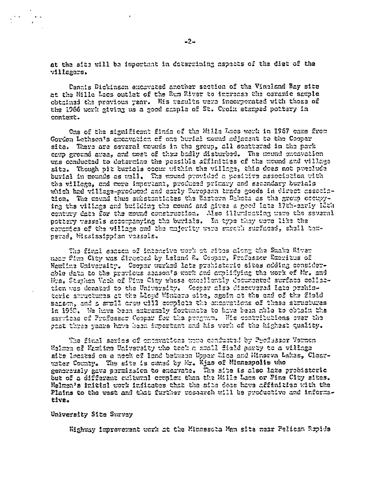at the sits will be important in determining aspects of the diet of the villagers.

Dannis Dickinson ancavated another section of the Vineland Bay site at the Mille Lacs outlet of the Rum River to increase the ceramic sample obtained the previous year. His results were incorporated with those of the 1966 work aiving us a good sample of St. Croin starped pottery in context.

One of the significant finds of the Mills Lucs work in 1967 came from Gordon Lethsca's excavation of one burial mound adjacent to the Coopar site. There are several mounds in the group, all scattered in the park caup ground area, and tost of them badly disturbed. The mound excavation was conducted to determine the possible affinities of the mound and village site. Though pit burials occur within the village, this does not preclude burial in mounds as wall. The mound provided a positive association with the villege. and more important, produced primary and secondary burials which had village-produced and early European trade goods in direct association. The mound thus substantiates the Eastern Dakota as the group occupying the village and building the mound and gives a good late 17th-carly 18th century date for the zound construction. Also illuminating wave the several pottery vessals accompanying the burials. In type they were like the coromies of the village and the majority were succell surfaced, shell tempared, Mississippian vassals.

The final season of intensive work at sites along the Smake River man Pina City was directed by Laland R. Cooper, Professor Rueritus of Hemline University. Cooper werked late prehistoric sites adding considerable data to the provious season's work and amplifying the work of Mr. and Mrs. Stephen Vach of Pine City whose excellently decumented surface collection was domated to the University. Cooper also discussed late prehisterio shruchumes at the Lloyd Winters site, agein at the end of the field sanson, and a stull crew will compiete the endovations of these structures in 1968. We have been extremely fortunate to have been chlo to obtain the sarvicas of Professor Coopar for the program. His contributions over the sast three vears hove been impertant and his work of the highest quality.

The final savies of chosvations word conducted by Professor Vernon. Walman of Wamiima University the toch a small field party to a village sits leasted on a neck of land between Upper Rice and Minerva Lakes, Clearwher County. The site is comed by Mr. Kjas of Minneapolis who genorously gava pormission to excavate. The site is also lake prohistoric but of a different culturn! complex than the Mille Laos or Fine City sites. Helmea's initial work inficutes that the site dees have affinities with the Plains to the west and that further research will be productive and informative.

## University Site Survey

Highway foproverent work at the Minnesota Man site mear Pelican Repids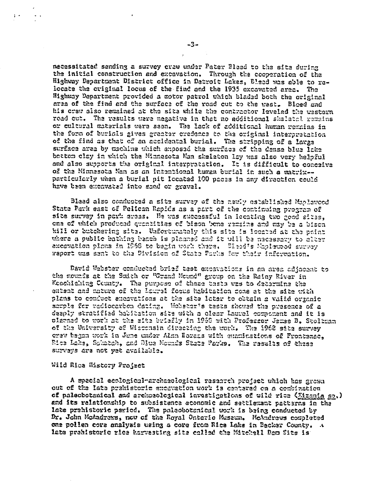necessitated sending a survey crew under Pater Bleed to the site during the initial construction and excavation. Through the cooperation of the Highway Department District office in Detroit Lakes, Bleed was able to relocate the criginal locus of the find and the 1935 excavated area. The Highway Department provided a motor patrol which bladed both the original area of the find and the surface of the road cut to the usst. Bloed and his crew also remained at the site while the contractor leveled the western road cut. The rasults ware negative in that no additional skalatel remains or cultural materials were seen. The lack of additional human remains in the form of burials gives gracter credence to the original interpretation of the find as that of an accidental burial. The stripping of a large surface area by machine which exposed the surface of the dense blue lake bettom clay in which the Minnesota Man skeleton lay was also very helpful and also supports the original interpretation. It is difficult to conceive of the Minnesota Man as an intentional human burial in such a matrix -particularly when a burial pit located 100 paces in any direction could have been excavated into sand or gravel.

Blead also conducted a site survey of the newly established Maplewood State Park east of Pelican Rapids as a part of the continuing program of site survey in park areas. He was successful in locating two good sites, ons of which produced quantities of bison bone ramains and may be a bison kill or butchering sits. Unfortunately this site is located at the point where a public bathing beach is planned and it uill be necessary to clasr excevation plans in 1968 to begin work there. Blend's Maplemood survey wapert was sent to the Division of State Parks for their information.

David Webster conducted brief test excavations in an area adjacent to the nounds at the Smith or "Grand Mound" group on the Rainy River in Koochiching County. The purpose of these tasts was to determine the entent and unture of the Laural focus habitation cone at the size with plans to conduct encovations at the site later to obtain a vaiid organic sarple for radiocarbon dating. Webstar's tests showed the presence of a deeply stratified babitation site with a clear Laurel component and it is planned to work at the site briefly in 1968 with Professor James B. Stolkman of the University of Wissensin directing the work. The 1968 site survey crew began work in June under Alan Borazs with emaninations of Frontenec. Rice Lake, Schatch, and Blue Mounds State Parks. The results of these survays ara not yet available.

## Wild Rice History Project

A special ecologicul-archaeological rasearch project which has grown out of the late prehistoric encevation work is centared on a combination of palecbotanical and archaeological investigations of wild rice (Migania sa.) and its relationship to subsistence economic and settlement patterns in the late prehistoric period. The paleobotanical work is being conducted by Dr. John McAndrews, new of the Royal Ontario Mussum. McAndrews completed one pollen core analysis using a core from Rice Lake in Becker County. A late prehistoric rice harvesting site called the Mitchell Dam Site is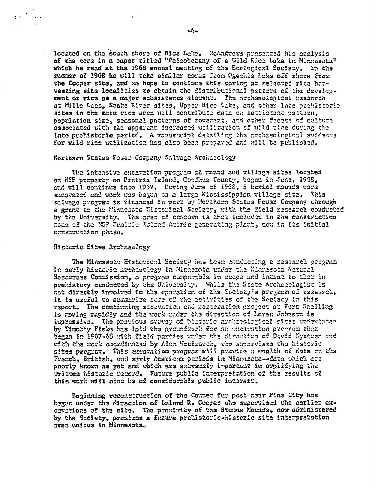located on the south shore of Rice Lake. McAndrews presented his analysis of the core in a paper titled "Paleobotany of a Wild Rice Lake in Minnesota" which he read at the 1968 annual meeting of the Ecological Society. In the summer of 1968 he will take similar cores from Ogechie Lake off shore from the Cooper site, and we hope to continue this coring at selected rice harvesting site localities to obtain the distributional pattern of the development of rice as a major subsistence element. The archaeological research at Mille Lacs, Snake Rivar sites, Upper Rice Lake, and other late prehistoric sites in the main rice area will contributa data on sattiement pattern, population size, seasonal patterns of movement, and other facets of culture associated with the apparent increased utilization of wild rice during the late prehistoric period. A manuscript detailing the prohasological avidence for wild rice utilization has also been prepared and will be published.

#### Northern States Power Company Salvage Archaeology

The intensive excevation program at mound and village sites located on NSP preparty on Prairie Island, Goodhue County, began in June, 1968, and will continue tato 1969. During June of 1968, 5 burial mounds were excavated and work was begun on a large Mississippian village site. This salvage program is financed in part by Northern States Pewer Company through a grant to the Minnesota Historical Saciety, with the field research conducted by the University. The area of concern is that included in the construction none of the NSP Prairle Island Atomic generating plant, now in its initial construction phase.

## Historic Sites Archaeology

 $\mathbb{R}^{2n}$ 

The Minnesota Historical Society has been conducting a research program In agriy historic archaeology in Minnesota under the Minnesota Natural Rasouress Commission, a program comparable in scope and intent to that in prehistory conducted by the University. While the State Archaeologist is not directly involved in the operation of the Society's program of research, it is useful to summarize some of the activities of the Saciety in this report. The continuing excavation and mesteration project at Fort Smelling is moving rapidly and the work under the direction of Loren Johnson is imprassive. The previous survey of historic archaeological sites underunken by Timethy Fiske has laid the groundwork for an exenvation pregram that began in 1967-68 with field parties under the direction of David Nystuen and with the work coordinated by Alen Weslettth, who supervises the historic sites program. This excavation program will previde a wealth of data on the French, British, and early American pariods in Minnesotz--data which are poorly known as yet and which are extremaly important in amplifying the written historic record. Future public interpretation of the results of this work will also be of considerable public interest.

Beginning reconstruction of the Conner fur post near Fina City has begun under the direction of Leland R. Cooper who supervised the carlier excavations of the site. The pronimity of the Stumme Mounds, now administered by the Society, promisss a future prehistoric-historic sits interpratation area unique in Minnesota.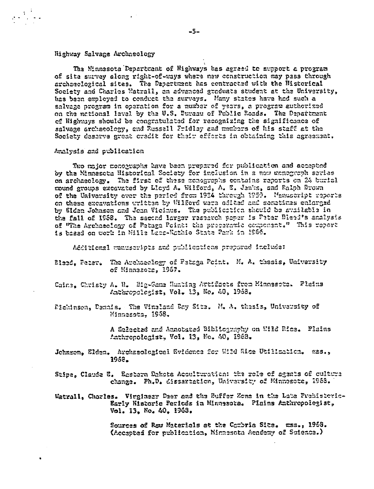# Highway Salvage Archaeology

The Minnesota Department of Highways has agraed to support a program of site survey along right-of-ways where new construction may pass through archaeolozical sites. The Department has contracted with the Historical Society and Charles Watrall, on advanced graduate student at the University, has been employed to conduct the surveys. Many states have had such a salvage program in operation for a number of years, a program authorized on the national lavel by the U.S. Duraau of Public Roads. The Department of Highways should be congratulated for recognizing the significance of salvage archaeology, and Nussall Fridley and members of his staff at the Society deserve great credit for their efforts in obtaining this agreement.

### Analysis and publication

Two major monographs have been prepared for publication and accepted by the Minnesota Historical Society for inclusion in a new monograph saries on archaeology. The first of these monographs contains reports on 24 burial mound groups excavated by Lloyd A. Wilford, A. E. Jenks, and Ralph Brown of the University ever the period from 1924 through 1959. Manuscript reports on these excavations written by Wilford were edited and semetimes enlarged by Siden Johnson and Joan Vicinus. The publication should be sudileble in the fall of 1968. The second larger research paper is Peter Dieed's analysis of "The Archaeology of Patage Point: the preceramic ocmponent." This report is based on work in Mille Lace-Wathio State Park in 1966.

Additional wanuscripts and publications prepared include:

- Bleed, Fater. The Archaeology of Petaga Point. M. A. thesis, University of Minnesota, 1957.
- Caine, Christy A. N. Big-Game Hunting Artifacts from Minnesote. Flains Anthropolagist, Vol. 13, No. 40, 1968.
- Dickinson, Dennis. The Vinaland Day Sita. N. A. thesis, University of Minnesots. 1958.

A Salectad and Annobstad Bibliography on Wild Rice. Plains Anthronologist. Vol. 13, No. 40, 1968.

Jehnson, Elden. Archasological Evidence for Wild Rice Utilization. ess., 1958.

Stipe, Claude E. Eastern Dakota Acoulturation: the role of agents of culture change. Ph.D. dissertation, University of Minnesota, 1968.

Watrall, Charles. Virginesr Daer and the Buffer Zone in the Late Prehistoric-Early Historic Periods in Minassota. Pinins Anthropologist, Vol. 13, No. 40, 1963.

> Sources of Rgu Materials at the Combria Site. mss., 1958. (Accepted for publication, Minnesota Academy of Science.)